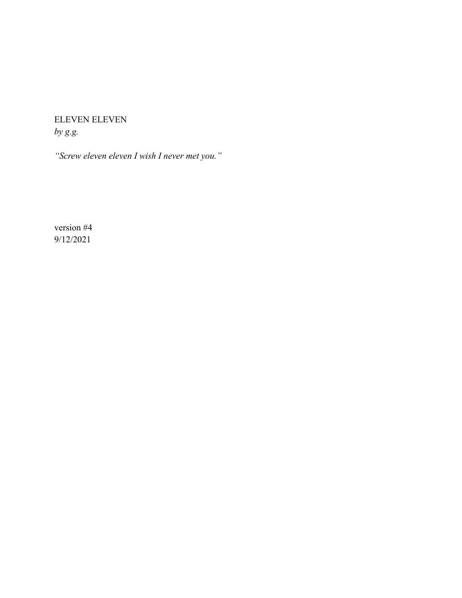ELEVEN ELEVEN *by g.g.*

*"Screw eleven eleven I wish I never met you."*

version #4 9/12/2021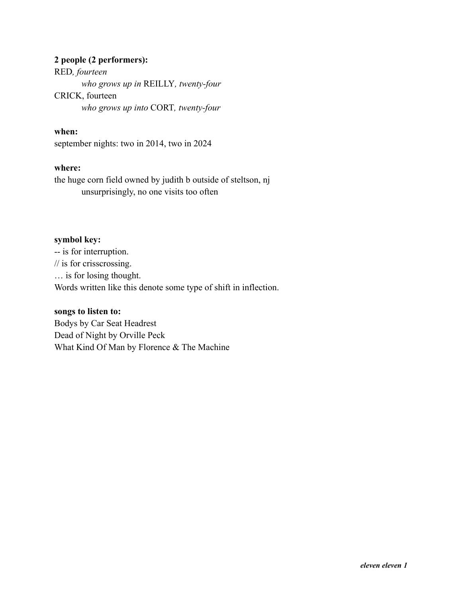# **2 people (2 performers):**

RED*, fourteen who grows up in* REILLY*, twenty-four* CRICK, fourteen *who grows up into* CORT*, twenty-four*

# **when:**

september nights: two in 2014, two in 2024

# **where:**

the huge corn field owned by judith b outside of steltson, nj unsurprisingly, no one visits too often

# **symbol key:**

-- is for interruption. // is for crisscrossing. … is for losing thought. Words written like this denote some type of shift in inflection.

# **songs to listen to:**

Bodys by Car Seat Headrest Dead of Night by Orville Peck What Kind Of Man by Florence & The Machine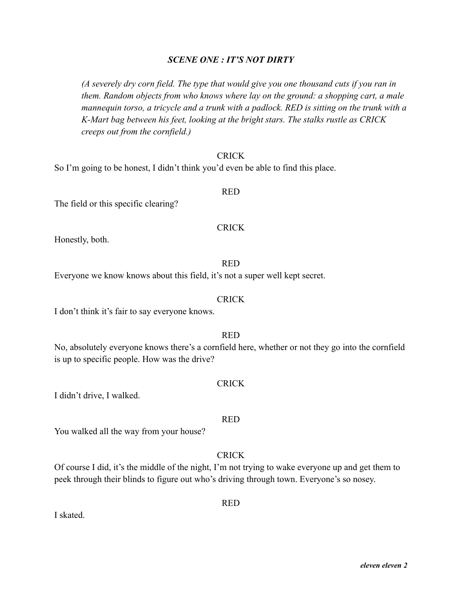*eleven eleven 2*

# *SCENE ONE : IT'S NOT DIRTY*

*(A severely dry corn field. The type that would give you one thousand cuts if you ran in them. Random objects from who knows where lay on the ground: a shopping cart, a male mannequin torso, a tricycle and a trunk with a padlock. RED is sitting on the trunk with a K-Mart bag between his feet, looking at the bright stars. The stalks rustle as CRICK creeps out from the cornfield.)*

#### CRICK

So I'm going to be honest, I didn't think you'd even be able to find this place.

#### RED

The field or this specific clearing?

#### CRICK

Honestly, both.

# RED Everyone we know knows about this field, it's not a super well kept secret.

#### **CRICK**

I don't think it's fair to say everyone knows.

You walked all the way from your house?

# RED

No, absolutely everyone knows there's a cornfield here, whether or not they go into the cornfield is up to specific people. How was the drive?

#### **CRICK**

I didn't drive, I walked.

# **CRICK**

Of course I did, it's the middle of the night, I'm not trying to wake everyone up and get them to peek through their blinds to figure out who's driving through town. Everyone's so nosey.

RED

I skated.

# RED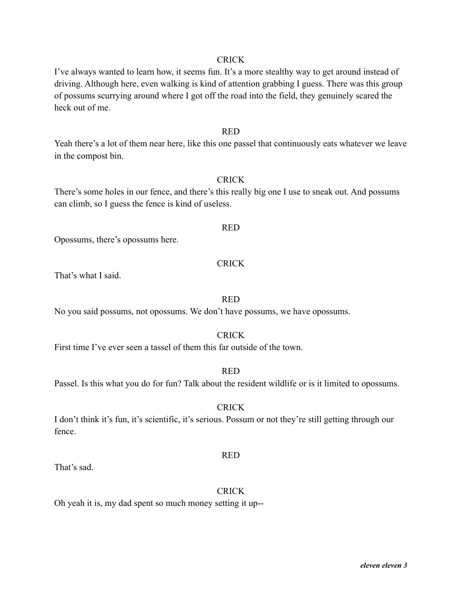I've always wanted to learn how, it seems fun. It's a more stealthy way to get around instead of driving. Although here, even walking is kind of attention grabbing I guess. There was this group of possums scurrying around where I got off the road into the field, they genuinely scared the heck out of me.

#### RED

Yeah there's a lot of them near here, like this one passel that continuously eats whatever we leave in the compost bin.

# **CRICK**

There's some holes in our fence, and there's this really big one I use to sneak out. And possums can climb, so I guess the fence is kind of useless.

#### RED

Opossums, there's opossums here.

#### CRICK

That's what I said.

#### RED

No you said possums, not opossums. We don't have possums, we have opossums.

#### CRICK

First time I've ever seen a tassel of them this far outside of the town.

#### RED

Passel. Is this what you do for fun? Talk about the resident wildlife or is it limited to opossums.

#### CRICK

I don't think it's fun, it's scientific, it's serious. Possum or not they're still getting through our fence.

That's sad.

# **CRICK**

RED

Oh yeah it is, my dad spent so much money setting it up--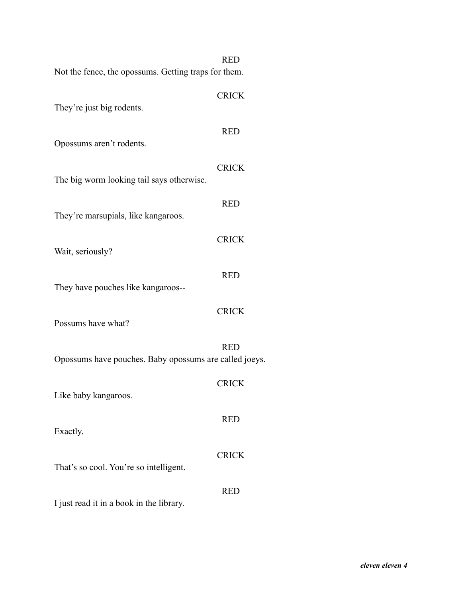|                                                        | <b>RED</b>   |
|--------------------------------------------------------|--------------|
| Not the fence, the opossums. Getting traps for them.   |              |
| They're just big rodents.                              | <b>CRICK</b> |
| Opossums aren't rodents.                               | <b>RED</b>   |
| The big worm looking tail says otherwise.              | <b>CRICK</b> |
| They're marsupials, like kangaroos.                    | <b>RED</b>   |
| Wait, seriously?                                       | <b>CRICK</b> |
| They have pouches like kangaroos--                     | <b>RED</b>   |
| Possums have what?                                     | <b>CRICK</b> |
| Opossums have pouches. Baby opossums are called joeys. | <b>RED</b>   |
| Like baby kangaroos.                                   | <b>CRICK</b> |
| Exactly.                                               | <b>RED</b>   |
| That's so cool. You're so intelligent.                 | <b>CRICK</b> |
| I just read it in a book in the library.               | <b>RED</b>   |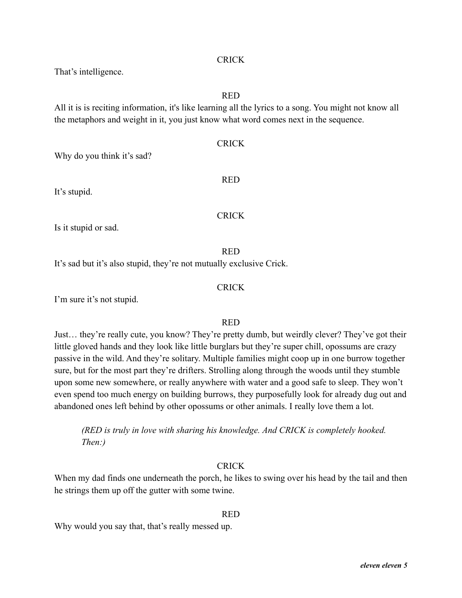That's intelligence.

# RED

All it is is reciting information, it's like learning all the lyrics to a song. You might not know all the metaphors and weight in it, you just know what word comes next in the sequence.

# CRICK

Why do you think it's sad?

It's stupid.

**CRICK** 

RED

Is it stupid or sad.

# RED

It's sad but it's also stupid, they're not mutually exclusive Crick.

# **CRICK**

I'm sure it's not stupid.

# RED

Just… they're really cute, you know? They're pretty dumb, but weirdly clever? They've got their little gloved hands and they look like little burglars but they're super chill, opossums are crazy passive in the wild. And they're solitary. Multiple families might coop up in one burrow together sure, but for the most part they're drifters. Strolling along through the woods until they stumble upon some new somewhere, or really anywhere with water and a good safe to sleep. They won't even spend too much energy on building burrows, they purposefully look for already dug out and abandoned ones left behind by other opossums or other animals. I really love them a lot.

*(RED is truly in love with sharing his knowledge. And CRICK is completely hooked. Then:)*

# **CRICK**

When my dad finds one underneath the porch, he likes to swing over his head by the tail and then he strings them up off the gutter with some twine.

# RED

Why would you say that, that's really messed up.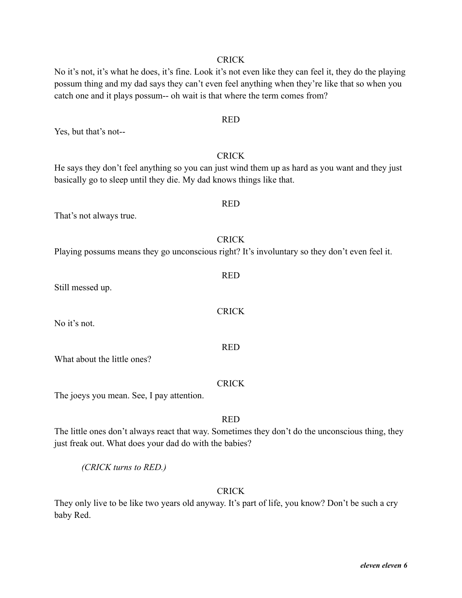No it's not, it's what he does, it's fine. Look it's not even like they can feel it, they do the playing possum thing and my dad says they can't even feel anything when they're like that so when you catch one and it plays possum-- oh wait is that where the term comes from?

RED

#### Yes, but that's not--

He says they don't feel anything so you can just wind them up as hard as you want and they just basically go to sleep until they die. My dad knows things like that.

CRICK

That's not always true.

# **CRICK** Playing possums means they go unconscious right? It's involuntary so they don't even feel it.

Still messed up.

No it's not.

What about the little ones?

CRICK

The joeys you mean. See, I pay attention.

RED

The little ones don't always react that way. Sometimes they don't do the unconscious thing, they just freak out. What does your dad do with the babies?

*(CRICK turns to RED.)*

# **CRICK**

They only live to be like two years old anyway. It's part of life, you know? Don't be such a cry baby Red.

# RED

**CRICK** 

RED

RED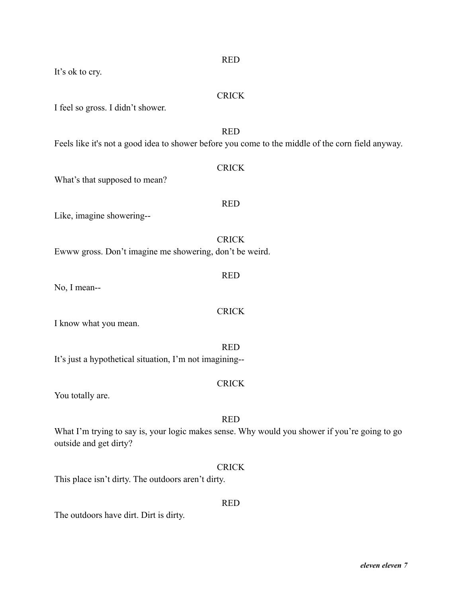| <b>RED</b>                                                                                                                            |
|---------------------------------------------------------------------------------------------------------------------------------------|
| It's ok to cry.                                                                                                                       |
| <b>CRICK</b><br>I feel so gross. I didn't shower.                                                                                     |
| <b>RED</b><br>Feels like it's not a good idea to shower before you come to the middle of the corn field anyway.                       |
| <b>CRICK</b><br>What's that supposed to mean?                                                                                         |
| <b>RED</b><br>Like, imagine showering--                                                                                               |
|                                                                                                                                       |
| <b>CRICK</b><br>Ewww gross. Don't imagine me showering, don't be weird.                                                               |
| <b>RED</b><br>No, I mean--                                                                                                            |
| <b>CRICK</b><br>I know what you mean.                                                                                                 |
| <b>RED</b><br>It's just a hypothetical situation, I'm not imagining--                                                                 |
| <b>CRICK</b><br>You totally are.                                                                                                      |
| <b>RED</b><br>What I'm trying to say is, your logic makes sense. Why would you shower if you're going to go<br>outside and get dirty? |
| <b>CRICK</b>                                                                                                                          |

This place isn't dirty. The outdoors aren't dirty.

The outdoors have dirt. Dirt is dirty.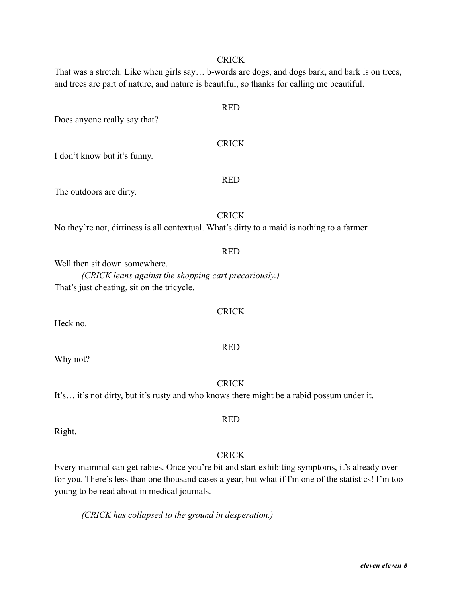That was a stretch. Like when girls say… b-words are dogs, and dogs bark, and bark is on trees, and trees are part of nature, and nature is beautiful, so thanks for calling me beautiful.

RED

CRICK

RED

I don't know but it's funny.

# The outdoors are dirty.

# CRICK

No they're not, dirtiness is all contextual. What's dirty to a maid is nothing to a farmer.

#### RED

Well then sit down somewhere.

*(CRICK leans against the shopping cart precariously.)* That's just cheating, sit on the tricycle.

# **CRICK**

RED

Heck no.

Why not?

**CRICK** 

It's… it's not dirty, but it's rusty and who knows there might be a rabid possum under it.

Right.

# CRICK

RED

Every mammal can get rabies. Once you're bit and start exhibiting symptoms, it's already over for you. There's less than one thousand cases a year, but what if I'm one of the statistics! I'm too young to be read about in medical journals.

*(CRICK has collapsed to the ground in desperation.)*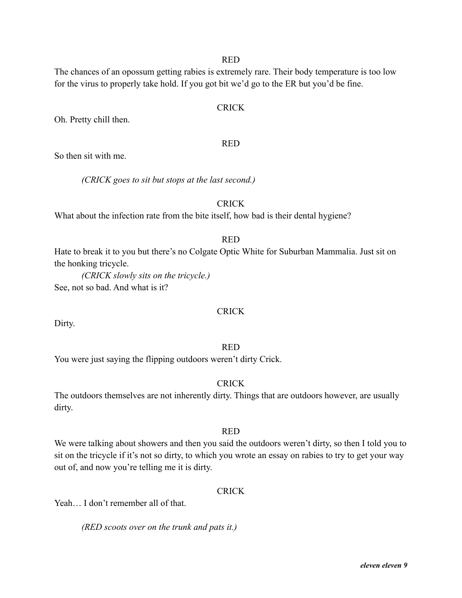The chances of an opossum getting rabies is extremely rare. Their body temperature is too low for the virus to properly take hold. If you got bit we'd go to the ER but you'd be fine.

# CRICK

Oh. Pretty chill then.

# RED

So then sit with me.

*(CRICK goes to sit but stops at the last second.)*

# CRICK

What about the infection rate from the bite itself, how bad is their dental hygiene?

# RED

Hate to break it to you but there's no Colgate Optic White for Suburban Mammalia. Just sit on the honking tricycle.

*(CRICK slowly sits on the tricycle.)* See, not so bad. And what is it?

# **CRICK**

Dirty.

# RED

You were just saying the flipping outdoors weren't dirty Crick.

# **CRICK**

The outdoors themselves are not inherently dirty. Things that are outdoors however, are usually dirty.

# RED

We were talking about showers and then you said the outdoors weren't dirty, so then I told you to sit on the tricycle if it's not so dirty, to which you wrote an essay on rabies to try to get your way out of, and now you're telling me it is dirty.

# **CRICK**

Yeah... I don't remember all of that.

*(RED scoots over on the trunk and pats it.)*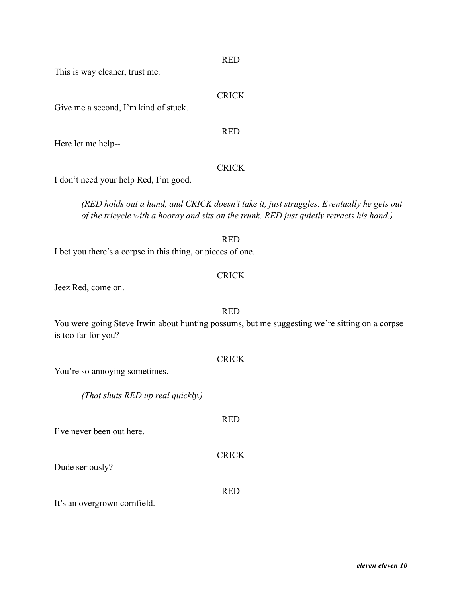This is way cleaner, trust me.

# **CRICK**

RED

Give me a second, I'm kind of stuck.

Here let me help--

# **CRICK**

I don't need your help Red, I'm good.

*(RED holds out a hand, and CRICK doesn't take it, just struggles. Eventually he gets out of the tricycle with a hooray and sits on the trunk. RED just quietly retracts his hand.)*

# RED I bet you there's a corpse in this thing, or pieces of one.

# **CRICK**

Jeez Red, come on.

You were going Steve Irwin about hunting possums, but me suggesting we're sitting on a corpse is too far for you?

| You're so annoying sometimes.                                                |              |
|------------------------------------------------------------------------------|--------------|
| (That shuts RED up real quickly.)                                            |              |
| I've never been out here.                                                    | <b>RED</b>   |
| Dude seriously?                                                              | <b>CRICK</b> |
| $\mu_{\alpha\alpha\mu\alpha\sigma}$ organization come $\mathcal{L}_{\alpha}$ | RED          |

It's an overgrown cornfield.

# RED

# **CRICK**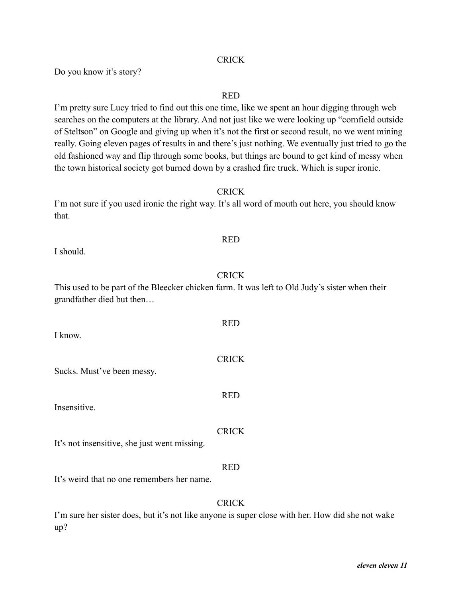Do you know it's story?

# RED

I'm pretty sure Lucy tried to find out this one time, like we spent an hour digging through web searches on the computers at the library. And not just like we were looking up "cornfield outside of Steltson" on Google and giving up when it's not the first or second result, no we went mining really. Going eleven pages of results in and there's just nothing. We eventually just tried to go the old fashioned way and flip through some books, but things are bound to get kind of messy when the town historical society got burned down by a crashed fire truck. Which is super ironic.

# CRICK

I'm not sure if you used ironic the right way. It's all word of mouth out here, you should know that.

#### I should.

# CRICK

RED

**CRICK** 

RED

RED

This used to be part of the Bleecker chicken farm. It was left to Old Judy's sister when their grandfather died but then…

I know.

Sucks. Must've been messy.

Insensitive.

# **CRICK**

It's not insensitive, she just went missing.

# RED

It's weird that no one remembers her name.

# **CRICK**

I'm sure her sister does, but it's not like anyone is super close with her. How did she not wake up?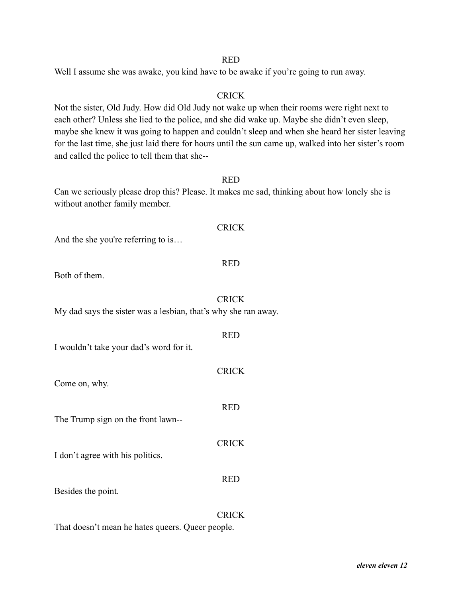Well I assume she was awake, you kind have to be awake if you're going to run away.

# **CRICK**

Not the sister, Old Judy. How did Old Judy not wake up when their rooms were right next to each other? Unless she lied to the police, and she did wake up. Maybe she didn't even sleep, maybe she knew it was going to happen and couldn't sleep and when she heard her sister leaving for the last time, she just laid there for hours until the sun came up, walked into her sister's room and called the police to tell them that she--

# RED

**CRICK** 

RED

**CRICK** 

RED

**CRICK** 

RED

**CRICK** 

RED

Can we seriously please drop this? Please. It makes me sad, thinking about how lonely she is without another family member.

| And the she you're referring to is |  |  |  |
|------------------------------------|--|--|--|

# Both of them.

My dad says the sister was a lesbian, that's why she ran away.

| I wouldn't take your dad's word for it. |  |  |  |
|-----------------------------------------|--|--|--|

| Come on, why. |  |  |
|---------------|--|--|
|---------------|--|--|

The Trump sign on the front lawn--

I don't agree with his politics.

Besides the point.

#### **CRICK**

That doesn't mean he hates queers. Queer people.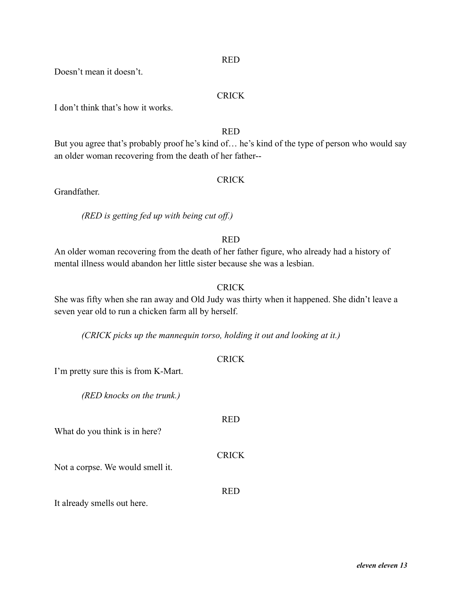Doesn't mean it doesn't.

# **CRICK**

I don't think that's how it works.

# RED

But you agree that's probably proof he's kind of… he's kind of the type of person who would say an older woman recovering from the death of her father--

#### **CRICK**

Grandfather.

*(RED is getting fed up with being cut off.)*

# RED

An older woman recovering from the death of her father figure, who already had a history of mental illness would abandon her little sister because she was a lesbian.

# **CRICK**

She was fifty when she ran away and Old Judy was thirty when it happened. She didn't leave a seven year old to run a chicken farm all by herself.

*(CRICK picks up the mannequin torso, holding it out and looking at it.)*

| I'm pretty sure this is from K-Mart. | <b>CRICK</b> |  |
|--------------------------------------|--------------|--|
| (RED knocks on the trunk.)           |              |  |
| What do you think is in here?        | <b>RED</b>   |  |
| Not a corpse. We would smell it.     | <b>CRICK</b> |  |
| It already smells out here.          | <b>RED</b>   |  |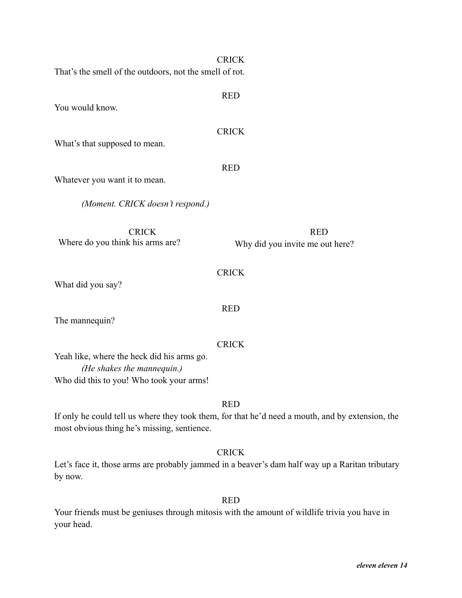| That's the smell of the outdoors, not the smell of rot. | <b>CRICK</b>                                  |
|---------------------------------------------------------|-----------------------------------------------|
| You would know.                                         | <b>RED</b>                                    |
| What's that supposed to mean.                           | <b>CRICK</b>                                  |
| Whatever you want it to mean.                           | <b>RED</b>                                    |
| (Moment. CRICK doesn't respond.)                        |                                               |
| <b>CRICK</b><br>Where do you think his arms are?        | <b>RED</b><br>Why did you invite me out here? |
| What did you say?                                       | <b>CRICK</b>                                  |
| The mannequin?                                          | <b>RED</b>                                    |

Yeah like, where the heck did his arms go. *(He shakes the mannequin.)* Who did this to you! Who took your arms!

# RED

If only he could tell us where they took them, for that he'd need a mouth, and by extension, the most obvious thing he's missing, sentience.

**CRICK** 

Let's face it, those arms are probably jammed in a beaver's dam half way up a Raritan tributary by now.

RED

Your friends must be geniuses through mitosis with the amount of wildlife trivia you have in your head.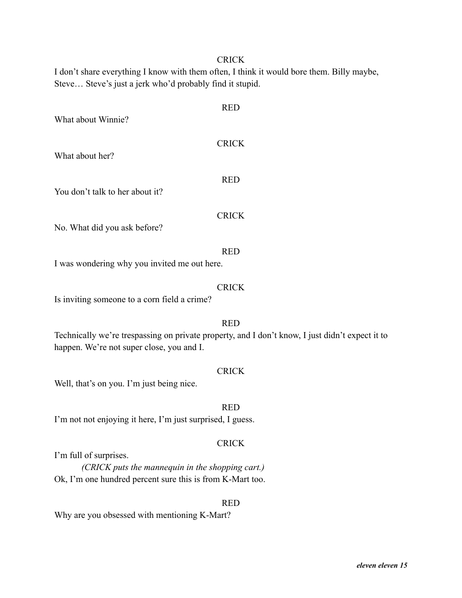I don't share everything I know with them often, I think it would bore them. Billy maybe, Steve… Steve's just a jerk who'd probably find it stupid.

| What about Winnie?                           | <b>RED</b>   |
|----------------------------------------------|--------------|
| What about her?                              | <b>CRICK</b> |
| You don't talk to her about it?              | <b>RED</b>   |
| No. What did you ask before?                 | <b>CRICK</b> |
| I was wondering why you invited me out here. | <b>RED</b>   |
| Is inviting someone to a corn field a crime? | <b>CRICK</b> |
|                                              | RED          |

Technically we're trespassing on private property, and I don't know, I just didn't expect it to happen. We're not super close, you and I.

### **CRICK**

RED

Well, that's on you. I'm just being nice.

I'm not not enjoying it here, I'm just surprised, I guess.

# CRICK

RED

I'm full of surprises.

*(CRICK puts the mannequin in the shopping cart.)* Ok, I'm one hundred percent sure this is from K-Mart too.

Why are you obsessed with mentioning K-Mart?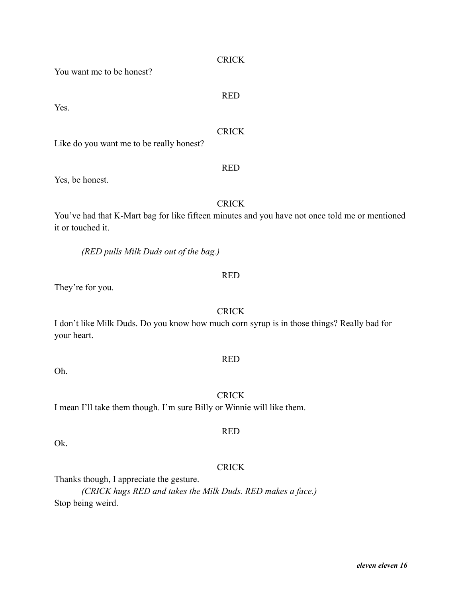You want me to be honest?

Yes.

**CRICK** 

Like do you want me to be really honest?

Yes, be honest.

You've had that K-Mart bag for like fifteen minutes and you have not once told me or mentioned it or touched it.

**CRICK** 

*(RED pulls Milk Duds out of the bag.)*

#### RED

They're for you.

**CRICK** I don't like Milk Duds. Do you know how much corn syrup is in those things? Really bad for your heart.

Oh.

I mean I'll take them though. I'm sure Billy or Winnie will like them.

Ok.

# **CRICK**

Thanks though, I appreciate the gesture.

*(CRICK hugs RED and takes the Milk Duds. RED makes a face.)* Stop being weird.

# RED

RED

RED

**CRICK** 

RED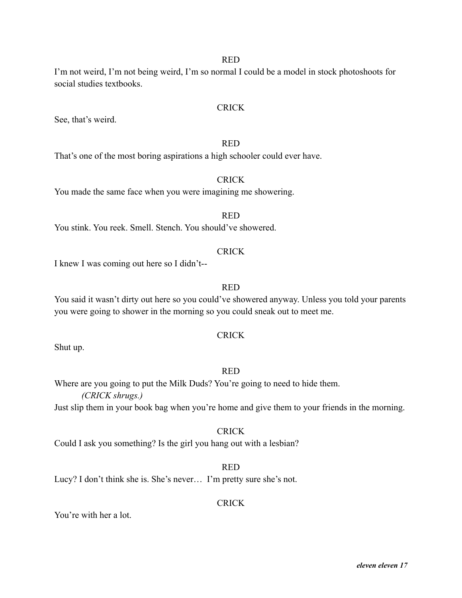I'm not weird, I'm not being weird, I'm so normal I could be a model in stock photoshoots for social studies textbooks.

# CRICK

See, that's weird.

#### RED

That's one of the most boring aspirations a high schooler could ever have.

# **CRICK**

You made the same face when you were imagining me showering.

# RED

You stink. You reek. Smell. Stench. You should've showered.

# **CRICK**

I knew I was coming out here so I didn't--

# RED

You said it wasn't dirty out here so you could've showered anyway. Unless you told your parents you were going to shower in the morning so you could sneak out to meet me.

# CRICK

Shut up.

# RED

Where are you going to put the Milk Duds? You're going to need to hide them. *(CRICK shrugs.)*

Just slip them in your book bag when you're home and give them to your friends in the morning.

# **CRICK**

Could I ask you something? Is the girl you hang out with a lesbian?

# RED

Lucy? I don't think she is. She's never… I'm pretty sure she's not.

# **CRICK**

You're with her a lot.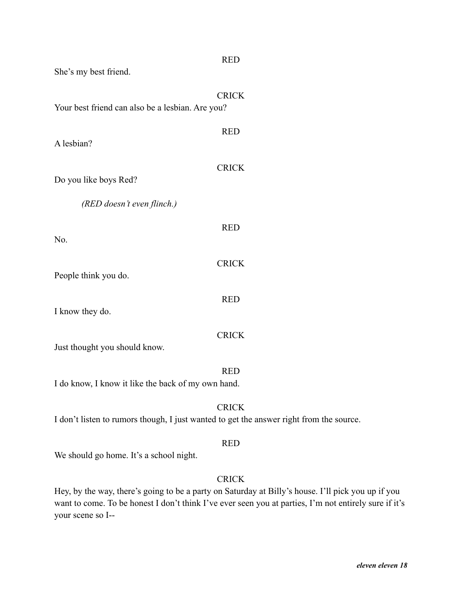| She's my best friend.                              | <b>RED</b>                                                                                              |
|----------------------------------------------------|---------------------------------------------------------------------------------------------------------|
| Your best friend can also be a lesbian. Are you?   | <b>CRICK</b>                                                                                            |
| A lesbian?                                         | <b>RED</b>                                                                                              |
| Do you like boys Red?                              | <b>CRICK</b>                                                                                            |
| (RED doesn't even flinch.)                         |                                                                                                         |
| No.                                                | <b>RED</b>                                                                                              |
| People think you do.                               | <b>CRICK</b>                                                                                            |
| I know they do.                                    | <b>RED</b>                                                                                              |
| Just thought you should know.                      | <b>CRICK</b>                                                                                            |
| I do know, I know it like the back of my own hand. | <b>RED</b>                                                                                              |
|                                                    | <b>CRICK</b><br>I don't listen to rumors though, I just wanted to get the answer right from the source. |

We should go home. It's a school night.

# **CRICK**

Hey, by the way, there's going to be a party on Saturday at Billy's house. I'll pick you up if you want to come. To be honest I don't think I've ever seen you at parties, I'm not entirely sure if it's your scene so I--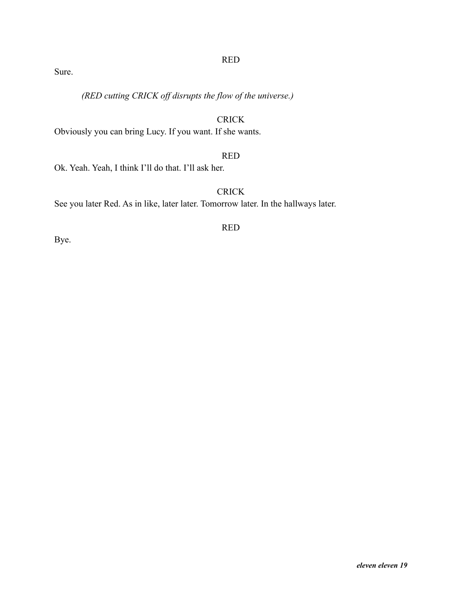Sure.

*(RED cutting CRICK off disrupts the flow of the universe.)*

# CRICK

Obviously you can bring Lucy. If you want. If she wants.

# RED

Ok. Yeah. Yeah, I think I'll do that. I'll ask her.

# **CRICK**

See you later Red. As in like, later later. Tomorrow later. In the hallways later.

RED

Bye.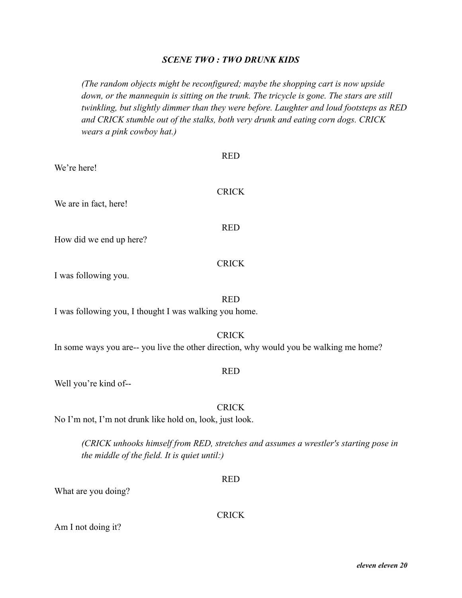# *SCENE TWO : TWO DRUNK KIDS*

*(The random objects might be reconfigured; maybe the shopping cart is now upside down, or the mannequin is sitting on the trunk. The tricycle is gone. The stars are still twinkling, but slightly dimmer than they were before. Laughter and loud footsteps as RED and CRICK stumble out of the stalks, both very drunk and eating corn dogs. CRICK wears a pink cowboy hat.)*

|                                                                                        | <b>RED</b>   |
|----------------------------------------------------------------------------------------|--------------|
| We're here!                                                                            |              |
| We are in fact, here!                                                                  | <b>CRICK</b> |
| How did we end up here?                                                                | <b>RED</b>   |
| I was following you.                                                                   | <b>CRICK</b> |
| I was following you, I thought I was walking you home.                                 | <b>RED</b>   |
| In some ways you are-- you live the other direction, why would you be walking me home? | <b>CRICK</b> |
|                                                                                        | <b>RED</b>   |

Well you're kind of--

No I'm not, I'm not drunk like hold on, look, just look.

*(CRICK unhooks himself from RED, stretches and assumes a wrestler's starting pose in the middle of the field. It is quiet until:)*

CRICK

RED

What are you doing?

CRICK

Am I not doing it?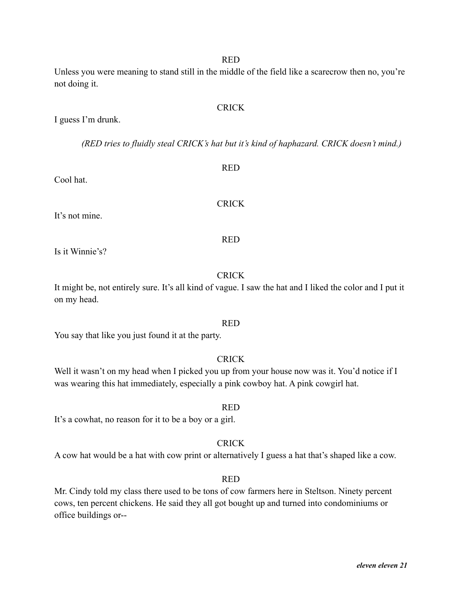*eleven eleven 21*

Unless you were meaning to stand still in the middle of the field like a scarecrow then no, you're not doing it.

I guess I'm drunk.

*(RED tries to fluidly steal CRICK's hat but it's kind of haphazard. CRICK doesn't mind.)*

Cool hat.

It's not mine.

Is it Winnie's?

# **CRICK**

It might be, not entirely sure. It's all kind of vague. I saw the hat and I liked the color and I put it on my head.

# RED

You say that like you just found it at the party.

CRICK

Well it wasn't on my head when I picked you up from your house now was it. You'd notice if I was wearing this hat immediately, especially a pink cowboy hat. A pink cowgirl hat.

It's a cowhat, no reason for it to be a boy or a girl.

**CRICK** 

RED

A cow hat would be a hat with cow print or alternatively I guess a hat that's shaped like a cow.

# RED

Mr. Cindy told my class there used to be tons of cow farmers here in Steltson. Ninety percent cows, ten percent chickens. He said they all got bought up and turned into condominiums or office buildings or--

# RED

# **CRICK**

# RED

CRICK

RED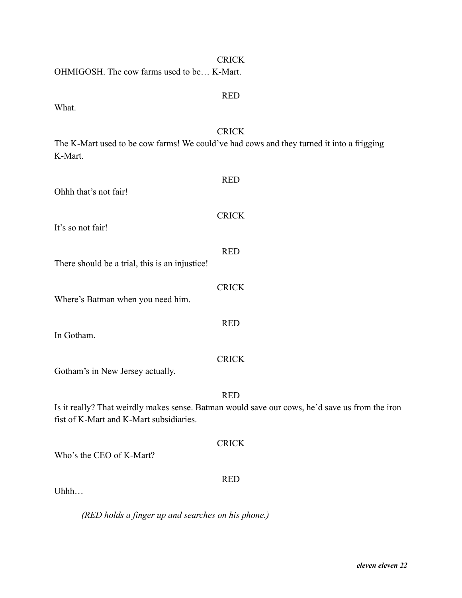| <b>CRICK</b>                                                                                                                              |
|-------------------------------------------------------------------------------------------------------------------------------------------|
| OHMIGOSH. The cow farms used to be K-Mart.                                                                                                |
| <b>RED</b>                                                                                                                                |
| What.                                                                                                                                     |
| <b>CRICK</b>                                                                                                                              |
| The K-Mart used to be cow farms! We could've had cows and they turned it into a frigging<br>K-Mart.                                       |
| <b>RED</b>                                                                                                                                |
| Ohhh that's not fair!                                                                                                                     |
| <b>CRICK</b>                                                                                                                              |
| It's so not fair!                                                                                                                         |
| <b>RED</b>                                                                                                                                |
| There should be a trial, this is an injustice!                                                                                            |
|                                                                                                                                           |
| <b>CRICK</b><br>Where's Batman when you need him.                                                                                         |
|                                                                                                                                           |
| <b>RED</b><br>In Gotham.                                                                                                                  |
|                                                                                                                                           |
| <b>CRICK</b>                                                                                                                              |
| Gotham's in New Jersey actually.                                                                                                          |
| <b>RED</b>                                                                                                                                |
| Is it really? That weirdly makes sense. Batman would save our cows, he'd save us from the iron<br>fist of K-Mart and K-Mart subsidiaries. |
|                                                                                                                                           |
| <b>CRICK</b><br>Who's the CEO of K-Mart?                                                                                                  |
|                                                                                                                                           |
| <b>RED</b><br>Uhhh                                                                                                                        |
|                                                                                                                                           |

*(RED holds a finger up and searches on his phone.)*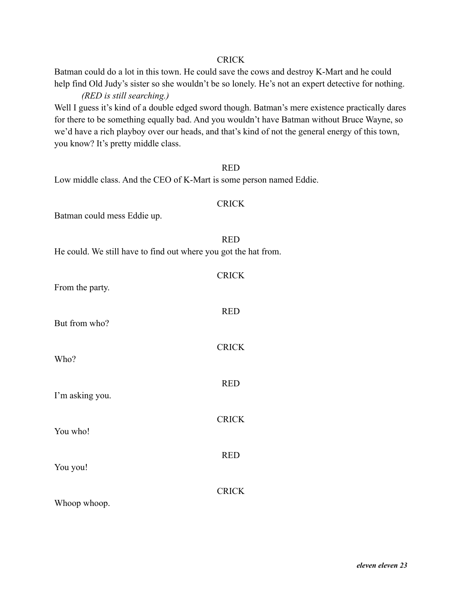Batman could do a lot in this town. He could save the cows and destroy K-Mart and he could help find Old Judy's sister so she wouldn't be so lonely. He's not an expert detective for nothing.

# *(RED is still searching.)*

Well I guess it's kind of a double edged sword though. Batman's mere existence practically dares for there to be something equally bad. And you wouldn't have Batman without Bruce Wayne, so we'd have a rich playboy over our heads, and that's kind of not the general energy of this town, you know? It's pretty middle class.

|                                                                     | <b>RED</b>   |
|---------------------------------------------------------------------|--------------|
| Low middle class. And the CEO of K-Mart is some person named Eddie. |              |
| Batman could mess Eddie up.                                         | <b>CRICK</b> |
| He could. We still have to find out where you got the hat from.     | <b>RED</b>   |
| From the party.                                                     | <b>CRICK</b> |
| But from who?                                                       | <b>RED</b>   |
| Who?                                                                | <b>CRICK</b> |
| I'm asking you.                                                     | <b>RED</b>   |
| You who!                                                            | <b>CRICK</b> |
| You you!                                                            | <b>RED</b>   |
|                                                                     | <b>CRICK</b> |

Whoop whoop.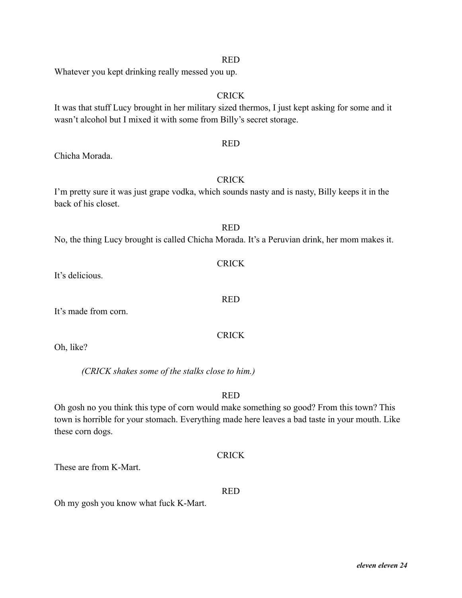Whatever you kept drinking really messed you up.

It was that stuff Lucy brought in her military sized thermos, I just kept asking for some and it wasn't alcohol but I mixed it with some from Billy's secret storage.

Chicha Morada.

# **CRICK**

**RED** 

I'm pretty sure it was just grape vodka, which sounds nasty and is nasty, Billy keeps it in the back of his closet.

|                                                                                              | 1111 |  |  |
|----------------------------------------------------------------------------------------------|------|--|--|
| No, the thing Lucy brought is called Chicha Morada. It's a Peruvian drink, her mom makes it. |      |  |  |

It's made from corn.

Oh, like?

*(CRICK shakes some of the stalks close to him.)*

RED

Oh gosh no you think this type of corn would make something so good? From this town? This town is horrible for your stomach. Everything made here leaves a bad taste in your mouth. Like these corn dogs.

# CRICK

These are from K-Mart.

# RED

Oh my gosh you know what fuck K-Mart.

# **CRICK**

# RED

# CRICK

RED

# CRICK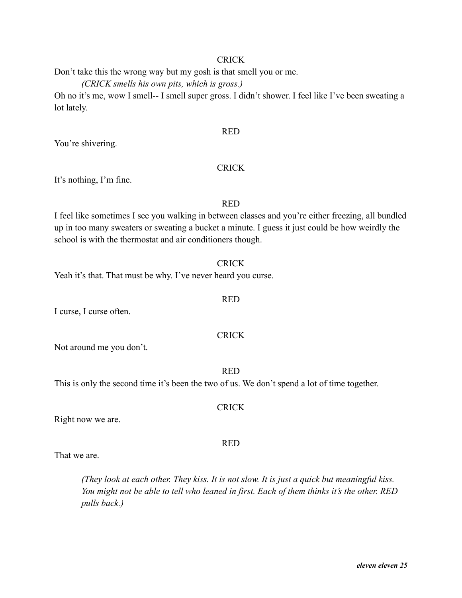Don't take this the wrong way but my gosh is that smell you or me.

*(CRICK smells his own pits, which is gross.)*

Oh no it's me, wow I smell-- I smell super gross. I didn't shower. I feel like I've been sweating a lot lately.

# RED

You're shivering.

# **CRICK**

It's nothing, I'm fine.

# RED

I feel like sometimes I see you walking in between classes and you're either freezing, all bundled up in too many sweaters or sweating a bucket a minute. I guess it just could be how weirdly the school is with the thermostat and air conditioners though.

# CRICK

RED

Yeah it's that. That must be why. I've never heard you curse.

I curse, I curse often.

# CRICK

Not around me you don't.

RED

CRICK

RED

This is only the second time it's been the two of us. We don't spend a lot of time together.

Right now we are.

That we are.

*(They look at each other. They kiss. It is not slow. It is just a quick but meaningful kiss. You might not be able to tell who leaned in first. Each of them thinks it's the other. RED pulls back.)*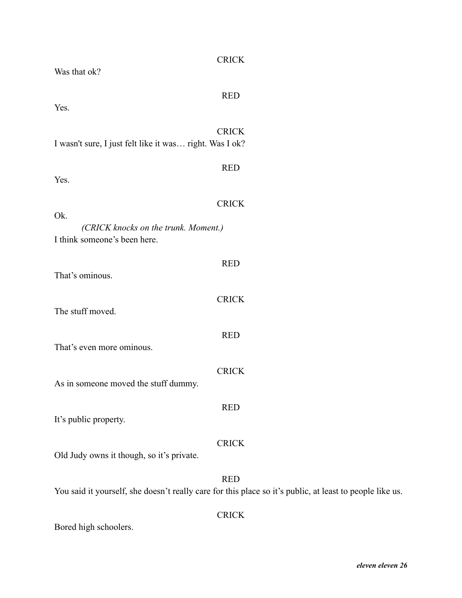| Was that ok?                                            | <b>CRICK</b>                                                                                                           |
|---------------------------------------------------------|------------------------------------------------------------------------------------------------------------------------|
| Yes.                                                    | <b>RED</b>                                                                                                             |
| I wasn't sure, I just felt like it was right. Was I ok? | <b>CRICK</b>                                                                                                           |
| Yes.                                                    | <b>RED</b>                                                                                                             |
| Ok.<br>(CRICK knocks on the trunk. Moment.)             | <b>CRICK</b>                                                                                                           |
| I think someone's been here.                            |                                                                                                                        |
| That's ominous.                                         | <b>RED</b>                                                                                                             |
| The stuff moved.                                        | <b>CRICK</b>                                                                                                           |
| That's even more ominous.                               | <b>RED</b>                                                                                                             |
| As in someone moved the stuff dummy.                    | <b>CRICK</b>                                                                                                           |
| It's public property.                                   | <b>RED</b>                                                                                                             |
| Old Judy owns it though, so it's private.               | <b>CRICK</b>                                                                                                           |
|                                                         | <b>RED</b><br>You said it yourself, she doesn't really care for this place so it's public, at least to people like us. |
|                                                         | <b>CRICK</b>                                                                                                           |

Bored high schoolers.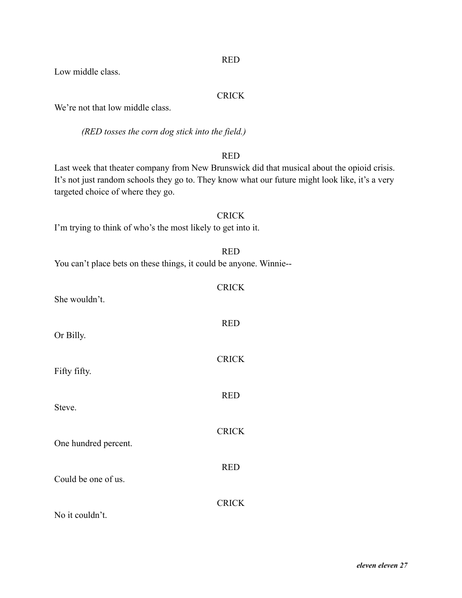Low middle class.

# **CRICK**

We're not that low middle class.

*(RED tosses the corn dog stick into the field.)*

# RED

RED

**CRICK** 

Last week that theater company from New Brunswick did that musical about the opioid crisis. It's not just random schools they go to. They know what our future might look like, it's a very targeted choice of where they go.

| <b>CRICK</b>                                                 |  |
|--------------------------------------------------------------|--|
| I'm trying to think of who's the most likely to get into it. |  |

|  |  | You can't place bets on these things, it could be anyone. Winnie-- |  |
|--|--|--------------------------------------------------------------------|--|
|  |  |                                                                    |  |

| She wouldn't.        |              |
|----------------------|--------------|
| Or Billy.            | <b>RED</b>   |
| Fifty fifty.         | <b>CRICK</b> |
| Steve.               | <b>RED</b>   |
|                      | <b>CRICK</b> |
| One hundred percent. | <b>RED</b>   |
| Could be one of us.  | <b>CRICK</b> |
| No it couldn't.      |              |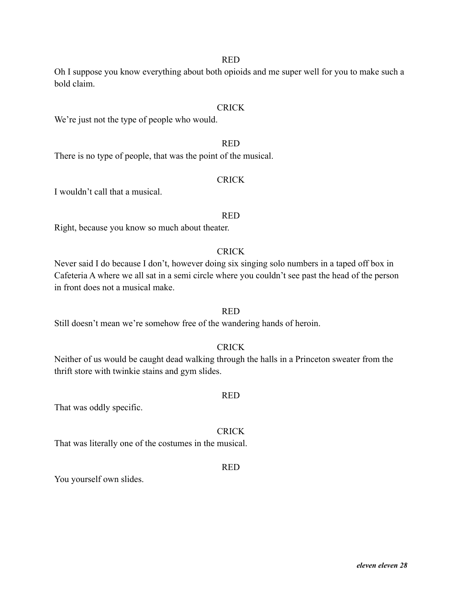Oh I suppose you know everything about both opioids and me super well for you to make such a bold claim.

#### CRICK

We're just not the type of people who would.

#### RED

There is no type of people, that was the point of the musical.

#### **CRICK**

I wouldn't call that a musical.

#### RED

Right, because you know so much about theater.

# **CRICK**

Never said I do because I don't, however doing six singing solo numbers in a taped off box in Cafeteria A where we all sat in a semi circle where you couldn't see past the head of the person in front does not a musical make.

# RED

Still doesn't mean we're somehow free of the wandering hands of heroin.

# CRICK

Neither of us would be caught dead walking through the halls in a Princeton sweater from the thrift store with twinkie stains and gym slides.

#### RED

That was oddly specific.

# CRICK

That was literally one of the costumes in the musical.

#### RED

You yourself own slides.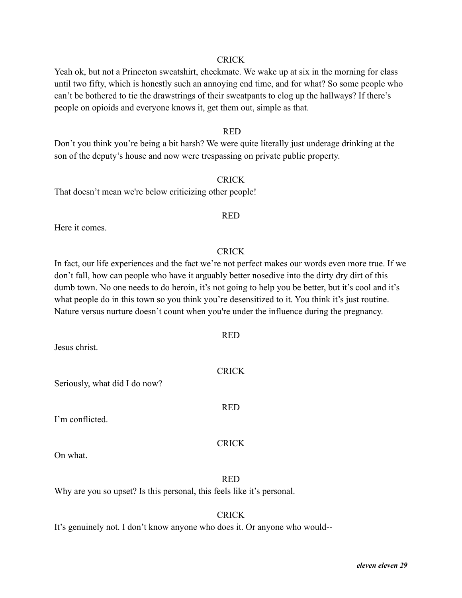Yeah ok, but not a Princeton sweatshirt, checkmate. We wake up at six in the morning for class until two fifty, which is honestly such an annoying end time, and for what? So some people who can't be bothered to tie the drawstrings of their sweatpants to clog up the hallways? If there's people on opioids and everyone knows it, get them out, simple as that.

#### RED

Don't you think you're being a bit harsh? We were quite literally just underage drinking at the son of the deputy's house and now were trespassing on private public property.

### **CRICK**

That doesn't mean we're below criticizing other people!

#### RED

Here it comes.

#### **CRICK**

In fact, our life experiences and the fact we're not perfect makes our words even more true. If we don't fall, how can people who have it arguably better nosedive into the dirty dry dirt of this dumb town. No one needs to do heroin, it's not going to help you be better, but it's cool and it's what people do in this town so you think you're desensitized to it. You think it's just routine. Nature versus nurture doesn't count when you're under the influence during the pregnancy.

| Jesus christ.                 | <b>RED</b>   |
|-------------------------------|--------------|
| Seriously, what did I do now? | <b>CRICK</b> |
| I'm conflicted.               | <b>RED</b>   |
| On what.                      | <b>CRICK</b> |

# RED

Why are you so upset? Is this personal, this feels like it's personal.

# **CRICK**

It's genuinely not. I don't know anyone who does it. Or anyone who would--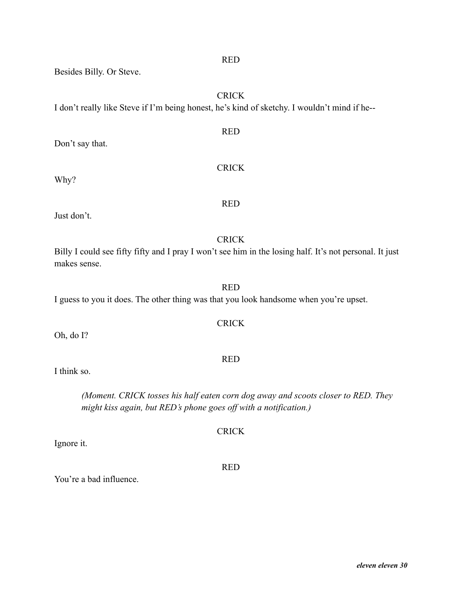Besides Billy. Or Steve.

**CRICK** 

I don't really like Steve if I'm being honest, he's kind of sketchy. I wouldn't mind if he--

RED Don't say that. **CRICK** Why?

Just don't.

**CRICK** Billy I could see fifty fifty and I pray I won't see him in the losing half. It's not personal. It just makes sense.

RED

I guess to you it does. The other thing was that you look handsome when you're upset.

Oh, do I?

I think so.

*(Moment. CRICK tosses his half eaten corn dog away and scoots closer to RED. They might kiss again, but RED's phone goes off with a notification.)*

Ignore it.

You're a bad influence.

RED

# **CRICK**

RED

RED

CRICK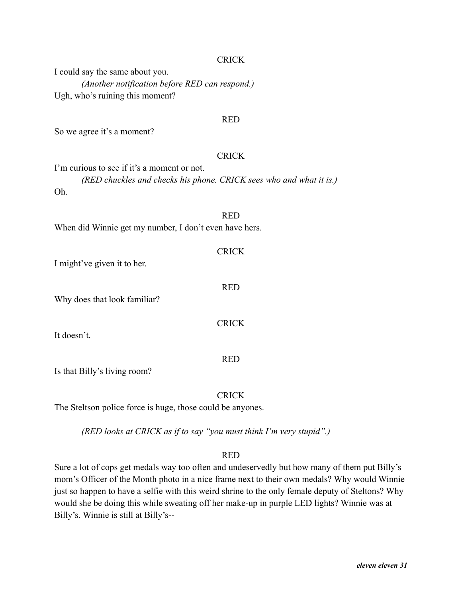I could say the same about you. *(Another notification before RED can respond.)* Ugh, who's ruining this moment?

#### RED

So we agree it's a moment?

#### CRICK

I'm curious to see if it's a moment or not. *(RED chuckles and checks his phone. CRICK sees who and what it is.)* Oh.

RED When did Winnie get my number, I don't even have hers.

**CRICK** I might've given it to her. RED Why does that look familiar? **CRICK** It doesn't. RED

Is that Billy's living room?

# **CRICK**

The Steltson police force is huge, those could be anyones.

*(RED looks at CRICK as if to say "you must think I'm very stupid".)*

#### RED

Sure a lot of cops get medals way too often and undeservedly but how many of them put Billy's mom's Officer of the Month photo in a nice frame next to their own medals? Why would Winnie just so happen to have a selfie with this weird shrine to the only female deputy of Steltons? Why would she be doing this while sweating off her make-up in purple LED lights? Winnie was at Billy's. Winnie is still at Billy's--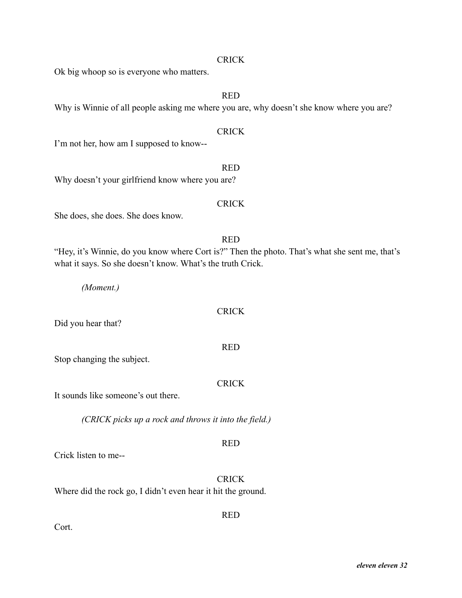Ok big whoop so is everyone who matters.

### RED

Why is Winnie of all people asking me where you are, why doesn't she know where you are?

### CRICK

I'm not her, how am I supposed to know--

#### RED

Why doesn't your girlfriend know where you are?

# CRICK

She does, she does. She does know.

# RED "Hey, it's Winnie, do you know where Cort is?" Then the photo. That's what she sent me, that's what it says. So she doesn't know. What's the truth Crick.

*(Moment.)*

# CRICK

Did you hear that?

Stop changing the subject.

# CRICK

RED

It sounds like someone's out there.

*(CRICK picks up a rock and throws it into the field.)*

# RED

Crick listen to me--

**CRICK** 

RED

Where did the rock go, I didn't even hear it hit the ground.

Cort.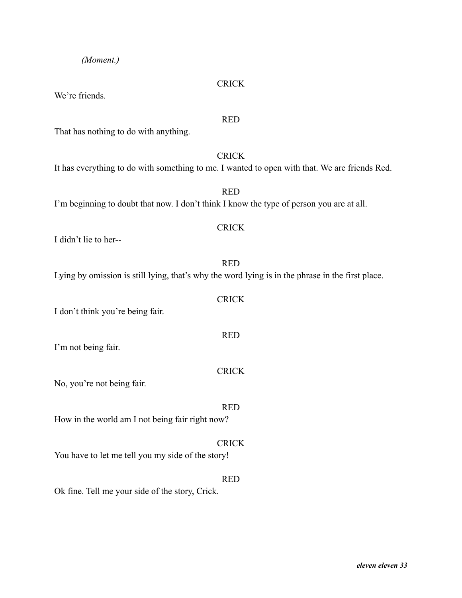# *(Moment.)*

We're friends.

That has nothing to do with anything.

It has everything to do with something to me. I wanted to open with that. We are friends Red.

RED I'm beginning to doubt that now. I don't think I know the type of person you are at all.

I didn't lie to her--

Lying by omission is still lying, that's why the word lying is in the phrase in the first place.

I don't think you're being fair.

I'm not being fair.

No, you're not being fair.

How in the world am I not being fair right now?

CRICK You have to let me tell you my side of the story!

Ok fine. Tell me your side of the story, Crick.

# **CRICK**

#### RED

CRICK

# CRICK

RED

CRICK

RED

CRICK

RED

RED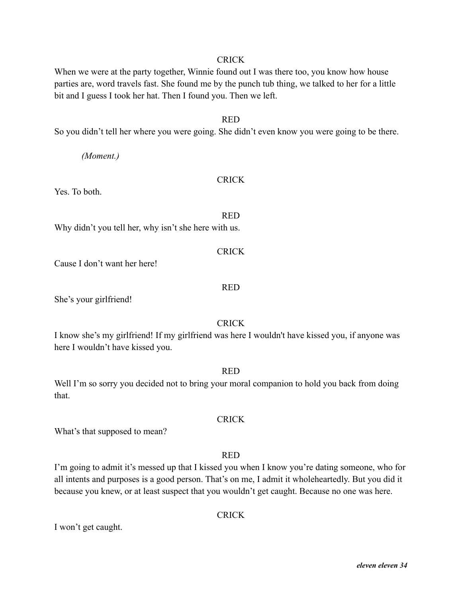When we were at the party together, Winnie found out I was there too, you know how house parties are, word travels fast. She found me by the punch tub thing, we talked to her for a little bit and I guess I took her hat. Then I found you. Then we left.

#### RED

So you didn't tell her where you were going. She didn't even know you were going to be there.

*(Moment.)*

#### CRICK

Yes. To both.

RED Why didn't you tell her, why isn't she here with us.

**CRICK** Cause I don't want her here! RED

She's your girlfriend!

#### **CRICK**

I know she's my girlfriend! If my girlfriend was here I wouldn't have kissed you, if anyone was here I wouldn't have kissed you.

#### RED

Well I'm so sorry you decided not to bring your moral companion to hold you back from doing that.

What's that supposed to mean?

#### RED

CRICK

I'm going to admit it's messed up that I kissed you when I know you're dating someone, who for all intents and purposes is a good person. That's on me, I admit it wholeheartedly. But you did it because you knew, or at least suspect that you wouldn't get caught. Because no one was here.

CRICK

I won't get caught.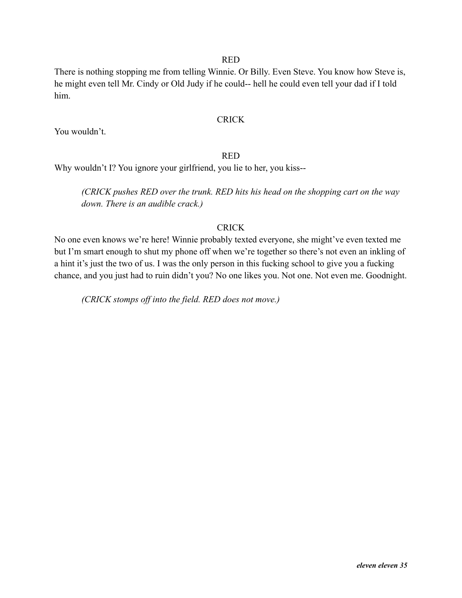There is nothing stopping me from telling Winnie. Or Billy. Even Steve. You know how Steve is, he might even tell Mr. Cindy or Old Judy if he could-- hell he could even tell your dad if I told him.

#### CRICK

You wouldn't.

### RED

Why wouldn't I? You ignore your girlfriend, you lie to her, you kiss--

*(CRICK pushes RED over the trunk. RED hits his head on the shopping cart on the way down. There is an audible crack.)*

# CRICK

No one even knows we're here! Winnie probably texted everyone, she might've even texted me but I'm smart enough to shut my phone off when we're together so there's not even an inkling of a hint it's just the two of us. I was the only person in this fucking school to give you a fucking chance, and you just had to ruin didn't you? No one likes you. Not one. Not even me. Goodnight.

*(CRICK stomps off into the field. RED does not move.)*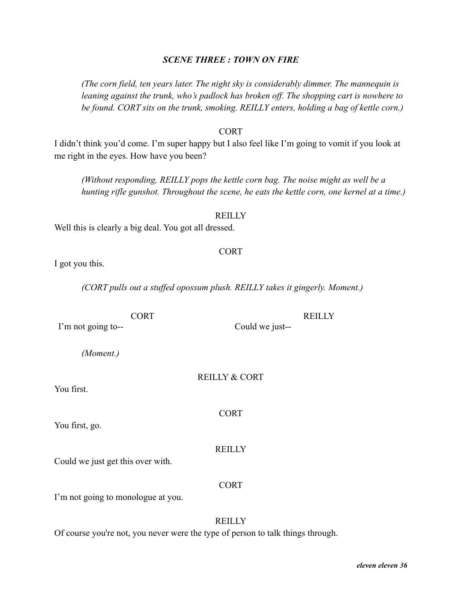#### *SCENE THREE : TOWN ON FIRE*

*(The corn field, ten years later. The night sky is considerably dimmer. The mannequin is leaning against the trunk, who's padlock has broken off. The shopping cart is nowhere to be found. CORT sits on the trunk, smoking. REILLY enters, holding a bag of kettle corn.)*

#### CORT

I didn't think you'd come. I'm super happy but I also feel like I'm going to vomit if you look at me right in the eyes. How have you been?

*(Without responding, REILLY pops the kettle corn bag. The noise might as well be a hunting rifle gunshot. Throughout the scene, he eats the kettle corn, one kernel at a time.)*

#### **REILLY**

Well this is clearly a big deal. You got all dressed.

#### CORT

**REILLY** 

I got you this.

*(CORT pulls out a stuffed opossum plush. REILLY takes it gingerly. Moment.)*

**CORT** I'm not going to--

*(Moment.)*

#### REILLY & CORT

Could we just--

CORT

You first, go.

You first.

**REILLY** 

Could we just get this over with.

#### CORT

I'm not going to monologue at you.

# **REILLY**

Of course you're not, you never were the type of person to talk things through.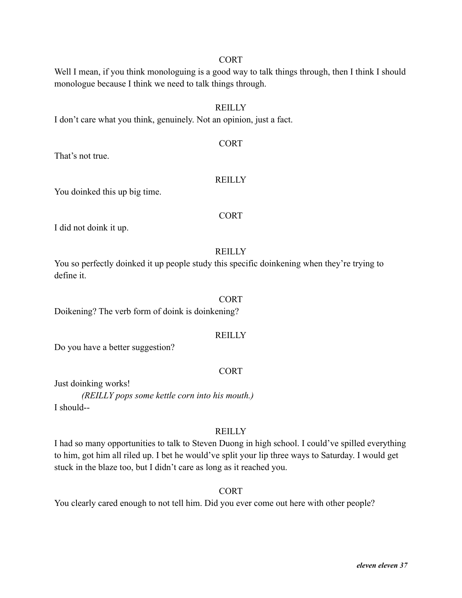# CORT

Well I mean, if you think monologuing is a good way to talk things through, then I think I should monologue because I think we need to talk things through.

# REILLY

CORT

I don't care what you think, genuinely. Not an opinion, just a fact.

# That's not true.

# **REILLY**

You doinked this up big time.

# CORT

I did not doink it up.

# **REILLY**

You so perfectly doinked it up people study this specific doinkening when they're trying to define it.

#### CORT

Doikening? The verb form of doink is doinkening?

# **REILLY**

Do you have a better suggestion?

# CORT

Just doinking works!

*(REILLY pops some kettle corn into his mouth.)* I should--

# **REILLY**

I had so many opportunities to talk to Steven Duong in high school. I could've spilled everything to him, got him all riled up. I bet he would've split your lip three ways to Saturday. I would get stuck in the blaze too, but I didn't care as long as it reached you.

# **CORT**

You clearly cared enough to not tell him. Did you ever come out here with other people?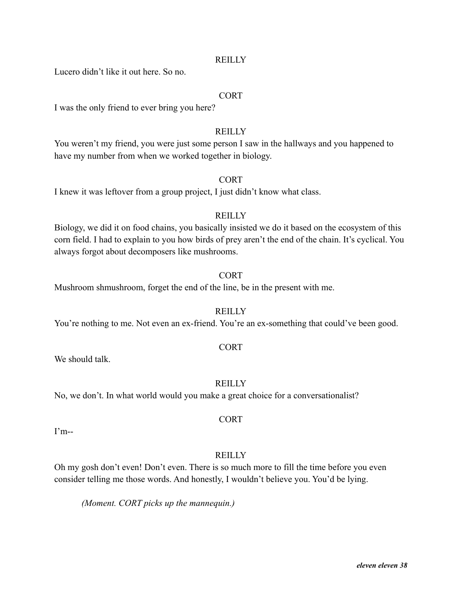Lucero didn't like it out here. So no.

### **CORT**

I was the only friend to ever bring you here?

# **REILLY**

You weren't my friend, you were just some person I saw in the hallways and you happened to have my number from when we worked together in biology.

**CORT** 

I knew it was leftover from a group project, I just didn't know what class.

#### **REILLY**

Biology, we did it on food chains, you basically insisted we do it based on the ecosystem of this corn field. I had to explain to you how birds of prey aren't the end of the chain. It's cyclical. You always forgot about decomposers like mushrooms.

#### CORT

Mushroom shmushroom, forget the end of the line, be in the present with me.

# **REILLY**

You're nothing to me. Not even an ex-friend. You're an ex-something that could've been good.

#### CORT

We should talk.

#### **REILLY**

No, we don't. In what world would you make a great choice for a conversationalist?

I'm--

# **REILLY**

**CORT** 

Oh my gosh don't even! Don't even. There is so much more to fill the time before you even consider telling me those words. And honestly, I wouldn't believe you. You'd be lying.

*(Moment. CORT picks up the mannequin.)*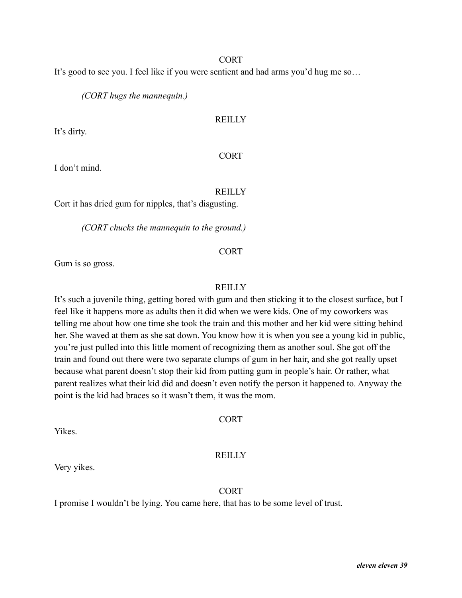#### CORT

It's good to see you. I feel like if you were sentient and had arms you'd hug me so…

*(CORT hugs the mannequin.)*

# REILLY

It's dirty.

# CORT

I don't mind.

# REILLY

Cort it has dried gum for nipples, that's disgusting.

*(CORT chucks the mannequin to the ground.)*

# CORT

Gum is so gross.

# **REILLY**

It's such a juvenile thing, getting bored with gum and then sticking it to the closest surface, but I feel like it happens more as adults then it did when we were kids. One of my coworkers was telling me about how one time she took the train and this mother and her kid were sitting behind her. She waved at them as she sat down. You know how it is when you see a young kid in public, you're just pulled into this little moment of recognizing them as another soul. She got off the train and found out there were two separate clumps of gum in her hair, and she got really upset because what parent doesn't stop their kid from putting gum in people's hair. Or rather, what parent realizes what their kid did and doesn't even notify the person it happened to. Anyway the point is the kid had braces so it wasn't them, it was the mom.

# CORT

Yikes.

# **REILLY**

Very yikes.

# CORT

I promise I wouldn't be lying. You came here, that has to be some level of trust.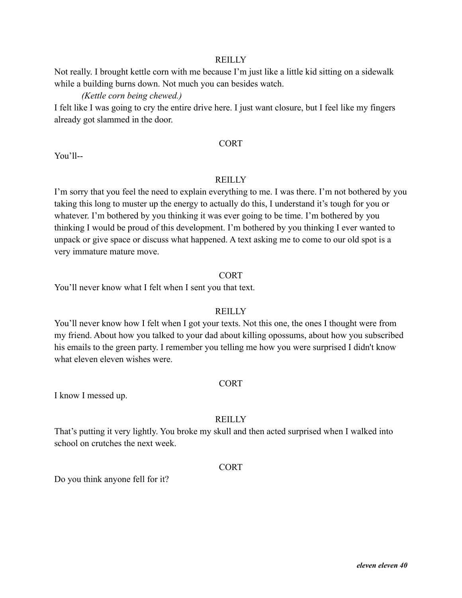Not really. I brought kettle corn with me because I'm just like a little kid sitting on a sidewalk while a building burns down. Not much you can besides watch.

### *(Kettle corn being chewed.)*

I felt like I was going to cry the entire drive here. I just want closure, but I feel like my fingers already got slammed in the door.

#### CORT

You'll--

### **REILLY**

I'm sorry that you feel the need to explain everything to me. I was there. I'm not bothered by you taking this long to muster up the energy to actually do this, I understand it's tough for you or whatever. I'm bothered by you thinking it was ever going to be time. I'm bothered by you thinking I would be proud of this development. I'm bothered by you thinking I ever wanted to unpack or give space or discuss what happened. A text asking me to come to our old spot is a very immature mature move.

#### CORT

You'll never know what I felt when I sent you that text.

#### **REILLY**

You'll never know how I felt when I got your texts. Not this one, the ones I thought were from my friend. About how you talked to your dad about killing opossums, about how you subscribed his emails to the green party. I remember you telling me how you were surprised I didn't know what eleven eleven wishes were.

#### CORT

I know I messed up.

# **REILLY**

That's putting it very lightly. You broke my skull and then acted surprised when I walked into school on crutches the next week.

#### CORT

Do you think anyone fell for it?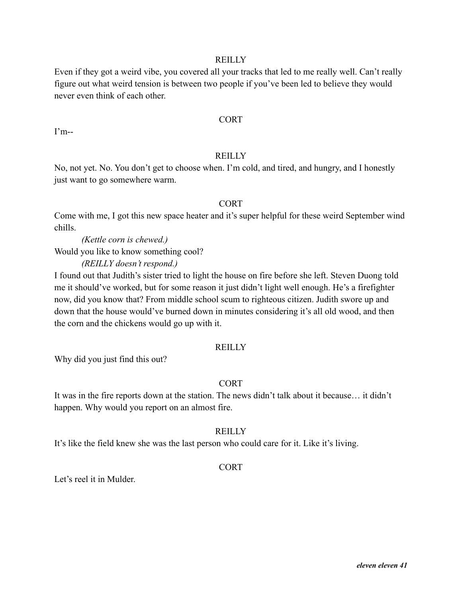Even if they got a weird vibe, you covered all your tracks that led to me really well. Can't really figure out what weird tension is between two people if you've been led to believe they would never even think of each other.

#### CORT

I'm--

#### **REILLY**

No, not yet. No. You don't get to choose when. I'm cold, and tired, and hungry, and I honestly just want to go somewhere warm.

#### CORT

Come with me, I got this new space heater and it's super helpful for these weird September wind chills.

*(Kettle corn is chewed.)* Would you like to know something cool?

*(REILLY doesn't respond.)*

I found out that Judith's sister tried to light the house on fire before she left. Steven Duong told me it should've worked, but for some reason it just didn't light well enough. He's a firefighter now, did you know that? From middle school scum to righteous citizen. Judith swore up and down that the house would've burned down in minutes considering it's all old wood, and then the corn and the chickens would go up with it.

#### **REILLY**

Why did you just find this out?

#### CORT

It was in the fire reports down at the station. The news didn't talk about it because… it didn't happen. Why would you report on an almost fire.

# **REILLY**

It's like the field knew she was the last person who could care for it. Like it's living.

#### CORT

Let's reel it in Mulder.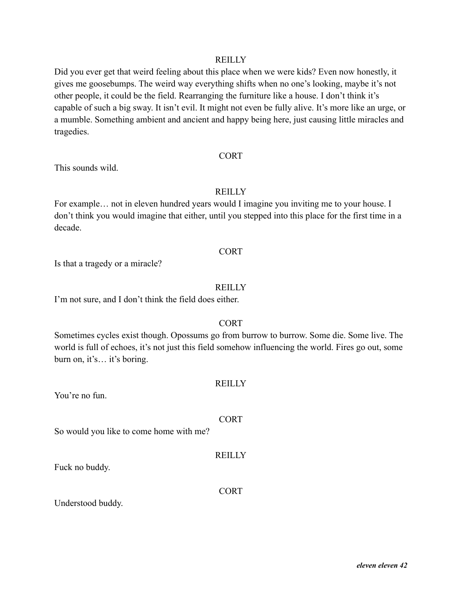Did you ever get that weird feeling about this place when we were kids? Even now honestly, it gives me goosebumps. The weird way everything shifts when no one's looking, maybe it's not other people, it could be the field. Rearranging the furniture like a house. I don't think it's capable of such a big sway. It isn't evil. It might not even be fully alive. It's more like an urge, or a mumble. Something ambient and ancient and happy being here, just causing little miracles and tragedies.

#### CORT

This sounds wild.

# REILLY

For example… not in eleven hundred years would I imagine you inviting me to your house. I don't think you would imagine that either, until you stepped into this place for the first time in a decade.

#### CORT

Is that a tragedy or a miracle?

#### **REILLY**

I'm not sure, and I don't think the field does either.

# CORT

Sometimes cycles exist though. Opossums go from burrow to burrow. Some die. Some live. The world is full of echoes, it's not just this field somehow influencing the world. Fires go out, some burn on, it's… it's boring.

#### **REILLY**

You're no fun.

# CORT

So would you like to come home with me?

Fuck no buddy.

#### CORT

**REILLY** 

Understood buddy.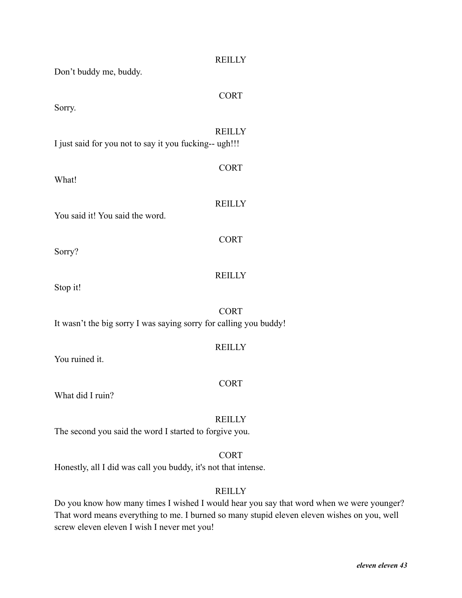| Don't buddy me, buddy.                                            | <b>REILLY</b> |
|-------------------------------------------------------------------|---------------|
| Sorry.                                                            | <b>CORT</b>   |
| I just said for you not to say it you fucking-- ugh!!!            | <b>REILLY</b> |
| What!                                                             | <b>CORT</b>   |
| You said it! You said the word.                                   | <b>REILLY</b> |
| Sorry?                                                            | <b>CORT</b>   |
| Stop it!                                                          | <b>REILLY</b> |
| It wasn't the big sorry I was saying sorry for calling you buddy! | <b>CORT</b>   |
| You ruined it.                                                    | <b>REILLY</b> |
| What did I ruin?                                                  | <b>CORT</b>   |
| The second you said the word I started to forgive you.            | <b>REILLY</b> |

**CORT** 

Honestly, all I did was call you buddy, it's not that intense.

# **REILLY**

Do you know how many times I wished I would hear you say that word when we were younger? That word means everything to me. I burned so many stupid eleven eleven wishes on you, well screw eleven eleven I wish I never met you!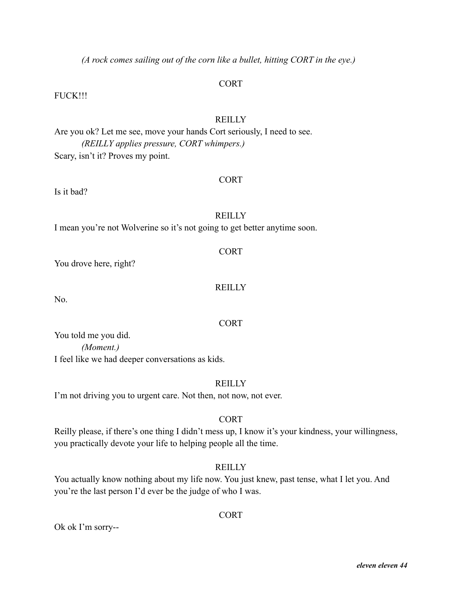*(A rock comes sailing out of the corn like a bullet, hitting CORT in the eye.)*

# **CORT**

FUCK!!!

# REILLY

Are you ok? Let me see, move your hands Cort seriously, I need to see. *(REILLY applies pressure, CORT whimpers.)* Scary, isn't it? Proves my point.

# CORT

Is it bad?

# **REILLY**

I mean you're not Wolverine so it's not going to get better anytime soon.

# CORT

You drove here, right?

# **REILLY**

No.

# CORT

You told me you did. *(Moment.)* I feel like we had deeper conversations as kids.

# **REILLY**

I'm not driving you to urgent care. Not then, not now, not ever.

# CORT

Reilly please, if there's one thing I didn't mess up, I know it's your kindness, your willingness, you practically devote your life to helping people all the time.

# **REILLY**

You actually know nothing about my life now. You just knew, past tense, what I let you. And you're the last person I'd ever be the judge of who I was.

# **CORT**

Ok ok I'm sorry--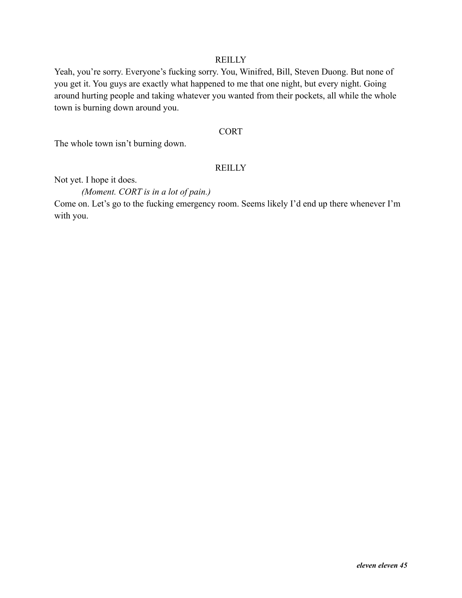Yeah, you're sorry. Everyone's fucking sorry. You, Winifred, Bill, Steven Duong. But none of you get it. You guys are exactly what happened to me that one night, but every night. Going around hurting people and taking whatever you wanted from their pockets, all while the whole town is burning down around you.

### **CORT**

The whole town isn't burning down.

# **REILLY**

Not yet. I hope it does.

*(Moment. CORT is in a lot of pain.)*

Come on. Let's go to the fucking emergency room. Seems likely I'd end up there whenever I'm with you.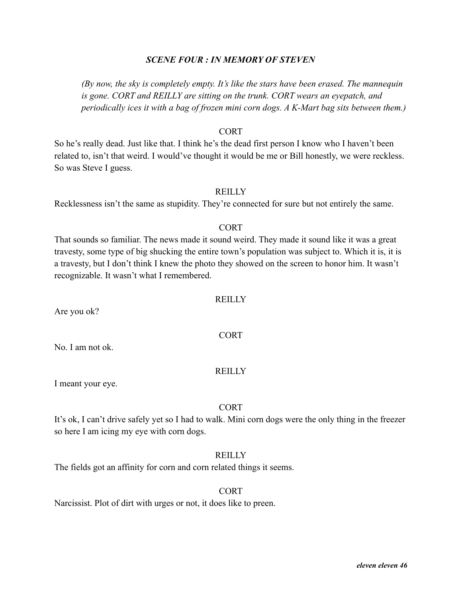# *SCENE FOUR : IN MEMORY OF STEVEN*

*(By now, the sky is completely empty. It's like the stars have been erased. The mannequin is gone. CORT and REILLY are sitting on the trunk. CORT wears an eyepatch, and periodically ices it with a bag of frozen mini corn dogs. A K-Mart bag sits between them.)*

### CORT

So he's really dead. Just like that. I think he's the dead first person I know who I haven't been related to, isn't that weird. I would've thought it would be me or Bill honestly, we were reckless. So was Steve I guess.

# **REILLY**

Recklessness isn't the same as stupidity. They're connected for sure but not entirely the same.

#### CORT

That sounds so familiar. The news made it sound weird. They made it sound like it was a great travesty, some type of big shucking the entire town's population was subject to. Which it is, it is a travesty, but I don't think I knew the photo they showed on the screen to honor him. It wasn't recognizable. It wasn't what I remembered.

#### **REILLY**

CORT

Are you ok?

No. I am not ok.

### **REILLY**

I meant your eye.

#### CORT

It's ok, I can't drive safely yet so I had to walk. Mini corn dogs were the only thing in the freezer so here I am icing my eye with corn dogs.

# **REILLY**

The fields got an affinity for corn and corn related things it seems.

#### **CORT**

Narcissist. Plot of dirt with urges or not, it does like to preen.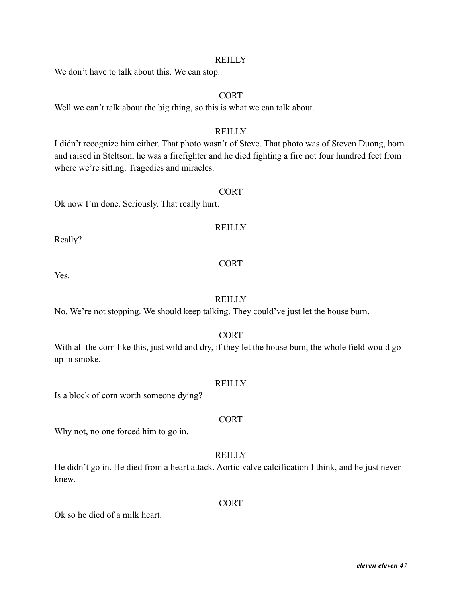We don't have to talk about this. We can stop.

# CORT

Well we can't talk about the big thing, so this is what we can talk about.

# **REILLY**

I didn't recognize him either. That photo wasn't of Steve. That photo was of Steven Duong, born and raised in Steltson, he was a firefighter and he died fighting a fire not four hundred feet from where we're sitting. Tragedies and miracles.

# **CORT**

Ok now I'm done. Seriously. That really hurt.

# **REILLY**

Really?

Yes.

# CORT

# **REILLY**

No. We're not stopping. We should keep talking. They could've just let the house burn.

# CORT

With all the corn like this, just wild and dry, if they let the house burn, the whole field would go up in smoke.

#### **REILLY**

Is a block of corn worth someone dying?

# CORT

Why not, no one forced him to go in.

# **REILLY**

He didn't go in. He died from a heart attack. Aortic valve calcification I think, and he just never knew.

**CORT** 

Ok so he died of a milk heart.

#### *eleven eleven 47*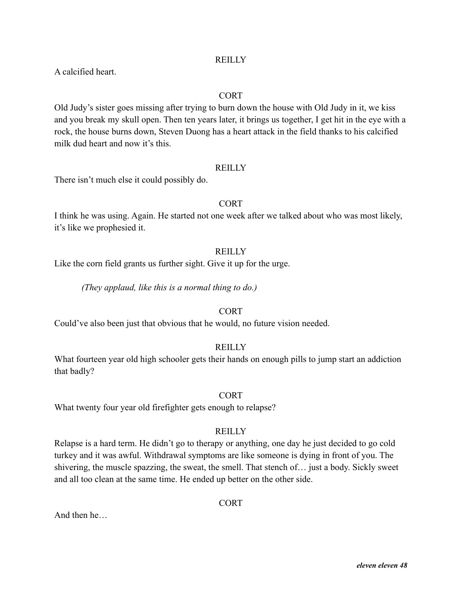A calcified heart.

# CORT

Old Judy's sister goes missing after trying to burn down the house with Old Judy in it, we kiss and you break my skull open. Then ten years later, it brings us together, I get hit in the eye with a rock, the house burns down, Steven Duong has a heart attack in the field thanks to his calcified milk dud heart and now it's this.

#### **REILLY**

There isn't much else it could possibly do.

# CORT

I think he was using. Again. He started not one week after we talked about who was most likely, it's like we prophesied it.

### **REILLY**

Like the corn field grants us further sight. Give it up for the urge.

*(They applaud, like this is a normal thing to do.)*

# **CORT**

Could've also been just that obvious that he would, no future vision needed.

# **REILLY**

What fourteen year old high schooler gets their hands on enough pills to jump start an addiction that badly?

# **CORT**

What twenty four year old firefighter gets enough to relapse?

# **REILLY**

Relapse is a hard term. He didn't go to therapy or anything, one day he just decided to go cold turkey and it was awful. Withdrawal symptoms are like someone is dying in front of you. The shivering, the muscle spazzing, the sweat, the smell. That stench of… just a body. Sickly sweet and all too clean at the same time. He ended up better on the other side.

**CORT** 

And then he…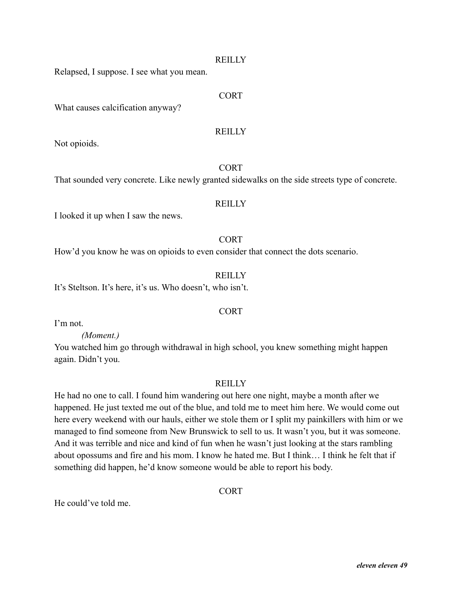Relapsed, I suppose. I see what you mean.

# **CORT**

What causes calcification anyway?

### **REILLY**

Not opioids.

# **CORT**

That sounded very concrete. Like newly granted sidewalks on the side streets type of concrete.

#### **REILLY**

I looked it up when I saw the news.

#### CORT

How'd you know he was on opioids to even consider that connect the dots scenario.

#### **REILLY**

CORT

It's Steltson. It's here, it's us. Who doesn't, who isn't.

I'm not.

#### *(Moment.)*

You watched him go through withdrawal in high school, you knew something might happen again. Didn't you.

#### **REILLY**

He had no one to call. I found him wandering out here one night, maybe a month after we happened. He just texted me out of the blue, and told me to meet him here. We would come out here every weekend with our hauls, either we stole them or I split my painkillers with him or we managed to find someone from New Brunswick to sell to us. It wasn't you, but it was someone. And it was terrible and nice and kind of fun when he wasn't just looking at the stars rambling about opossums and fire and his mom. I know he hated me. But I think… I think he felt that if something did happen, he'd know someone would be able to report his body.

CORT

He could've told me.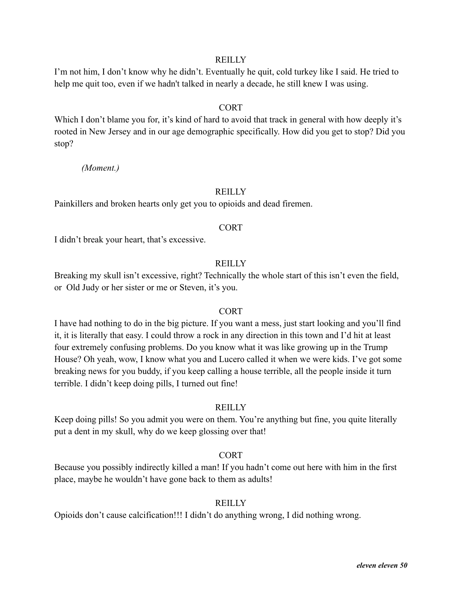I'm not him, I don't know why he didn't. Eventually he quit, cold turkey like I said. He tried to help me quit too, even if we hadn't talked in nearly a decade, he still knew I was using.

### CORT

Which I don't blame you for, it's kind of hard to avoid that track in general with how deeply it's rooted in New Jersey and in our age demographic specifically. How did you get to stop? Did you stop?

*(Moment.)*

#### **REILLY**

Painkillers and broken hearts only get you to opioids and dead firemen.

#### CORT

I didn't break your heart, that's excessive.

# **REILLY**

Breaking my skull isn't excessive, right? Technically the whole start of this isn't even the field, or Old Judy or her sister or me or Steven, it's you.

#### CORT

I have had nothing to do in the big picture. If you want a mess, just start looking and you'll find it, it is literally that easy. I could throw a rock in any direction in this town and I'd hit at least four extremely confusing problems. Do you know what it was like growing up in the Trump House? Oh yeah, wow, I know what you and Lucero called it when we were kids. I've got some breaking news for you buddy, if you keep calling a house terrible, all the people inside it turn terrible. I didn't keep doing pills, I turned out fine!

# **REILLY**

Keep doing pills! So you admit you were on them. You're anything but fine, you quite literally put a dent in my skull, why do we keep glossing over that!

# CORT

Because you possibly indirectly killed a man! If you hadn't come out here with him in the first place, maybe he wouldn't have gone back to them as adults!

### **REILLY**

Opioids don't cause calcification!!! I didn't do anything wrong, I did nothing wrong.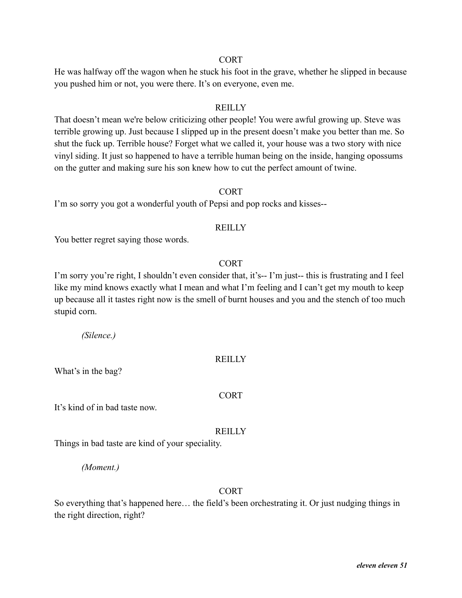### CORT

He was halfway off the wagon when he stuck his foot in the grave, whether he slipped in because you pushed him or not, you were there. It's on everyone, even me.

# REILLY

That doesn't mean we're below criticizing other people! You were awful growing up. Steve was terrible growing up. Just because I slipped up in the present doesn't make you better than me. So shut the fuck up. Terrible house? Forget what we called it, your house was a two story with nice vinyl siding. It just so happened to have a terrible human being on the inside, hanging opossums on the gutter and making sure his son knew how to cut the perfect amount of twine.

#### CORT

I'm so sorry you got a wonderful youth of Pepsi and pop rocks and kisses--

#### **REILLY**

You better regret saying those words.

### CORT

I'm sorry you're right, I shouldn't even consider that, it's-- I'm just-- this is frustrating and I feel like my mind knows exactly what I mean and what I'm feeling and I can't get my mouth to keep up because all it tastes right now is the smell of burnt houses and you and the stench of too much stupid corn.

*(Silence.)*

# **REILLY**

What's in the bag?

# CORT

It's kind of in bad taste now.

#### **REILLY**

Things in bad taste are kind of your speciality.

*(Moment.)*

#### CORT

So everything that's happened here… the field's been orchestrating it. Or just nudging things in the right direction, right?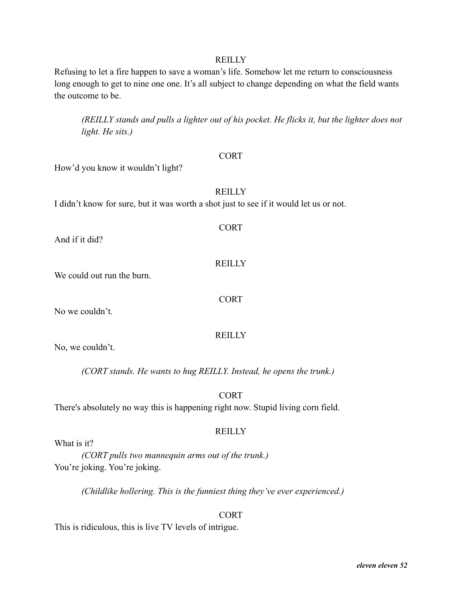Refusing to let a fire happen to save a woman's life. Somehow let me return to consciousness long enough to get to nine one one. It's all subject to change depending on what the field wants the outcome to be.

*(REILLY stands and pulls a lighter out of his pocket. He flicks it, but the lighter does not light. He sits.)*

#### CORT

How'd you know it wouldn't light?

# **REILLY**

CORT

**REILLY** 

CORT

**REILLY** 

I didn't know for sure, but it was worth a shot just to see if it would let us or not.

And if it did?

We could out run the burn.

No we couldn't.

No, we couldn't.

*(CORT stands. He wants to hug REILLY. Instead, he opens the trunk.)*

**CORT** 

There's absolutely no way this is happening right now. Stupid living corn field.

# **REILLY**

What is it?

*(CORT pulls two mannequin arms out of the trunk.)* You're joking. You're joking.

*(Childlike hollering. This is the funniest thing they've ever experienced.)*

**CORT** 

This is ridiculous, this is live TV levels of intrigue.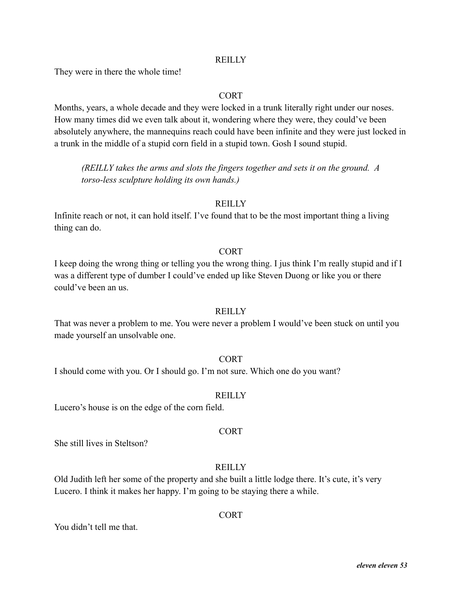They were in there the whole time!

# CORT

Months, years, a whole decade and they were locked in a trunk literally right under our noses. How many times did we even talk about it, wondering where they were, they could've been absolutely anywhere, the mannequins reach could have been infinite and they were just locked in a trunk in the middle of a stupid corn field in a stupid town. Gosh I sound stupid.

*(REILLY takes the arms and slots the fingers together and sets it on the ground. A torso-less sculpture holding its own hands.)*

### **REILLY**

Infinite reach or not, it can hold itself. I've found that to be the most important thing a living thing can do.

### **CORT**

I keep doing the wrong thing or telling you the wrong thing. I jus think I'm really stupid and if I was a different type of dumber I could've ended up like Steven Duong or like you or there could've been an us.

#### **REILLY**

That was never a problem to me. You were never a problem I would've been stuck on until you made yourself an unsolvable one.

#### CORT

I should come with you. Or I should go. I'm not sure. Which one do you want?

# **REILLY**

Lucero's house is on the edge of the corn field.

#### CORT

She still lives in Steltson?

# **REILLY**

Old Judith left her some of the property and she built a little lodge there. It's cute, it's very Lucero. I think it makes her happy. I'm going to be staying there a while.

# **CORT**

You didn't tell me that.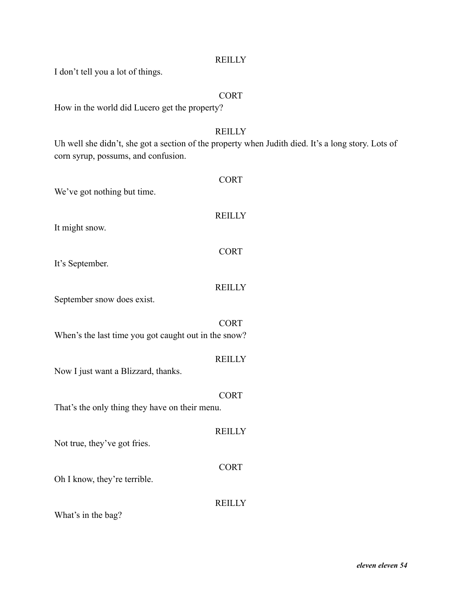I don't tell you a lot of things.

# **CORT**

How in the world did Lucero get the property?

# **REILLY**

Uh well she didn't, she got a section of the property when Judith died. It's a long story. Lots of corn syrup, possums, and confusion.

| We've got nothing but time.                          | <b>CORT</b>   |
|------------------------------------------------------|---------------|
| It might snow.                                       | <b>REILLY</b> |
| It's September.                                      | <b>CORT</b>   |
| September snow does exist.                           | <b>REILLY</b> |
| When's the last time you got caught out in the snow? | <b>CORT</b>   |
| Now I just want a Blizzard, thanks.                  | <b>REILLY</b> |
| That's the only thing they have on their menu.       | <b>CORT</b>   |
| Not true, they've got fries.                         | <b>REILLY</b> |
| Oh I know, they're terrible.                         | <b>CORT</b>   |
| What's in the bag?                                   | <b>REILLY</b> |